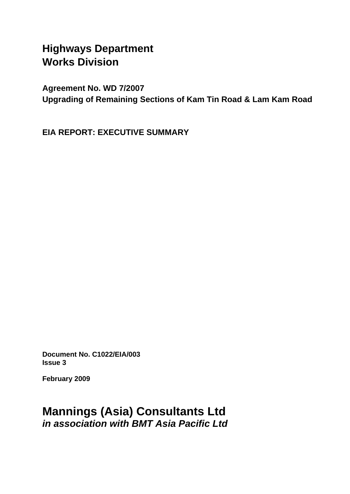# **Highways Department Works Division**

**Agreement No. WD 7/2007 Upgrading of Remaining Sections of Kam Tin Road & Lam Kam Road** 

**EIA REPORT: EXECUTIVE SUMMARY** 

**Document No. C1022/EIA/003 Issue 3** 

**February 2009** 

# **Mannings (Asia) Consultants Ltd**  *in association with BMT Asia Pacific Ltd*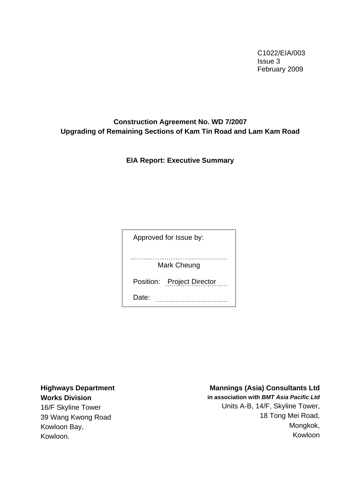C1022/EIA/003 Issue 3 February 2009

#### **Construction Agreement No. WD 7/2007 Upgrading of Remaining Sections of Kam Tin Road and Lam Kam Road**

**EIA Report: Executive Summary** 

Approved for Issue by:

Mark Cheung

Position: Project Director

Date: **................................** 

**Highways Department Works Division** 

16/F Skyline Tower 39 Wang Kwong Road Kowloon Bay, Kowloon.

#### **Mannings (Asia) Consultants Ltd**

**in association with** *BMT Asia Pacific Ltd* Units A-B, 14/F, Skyline Tower, 18 Tong Mei Road, Mongkok, Kowloon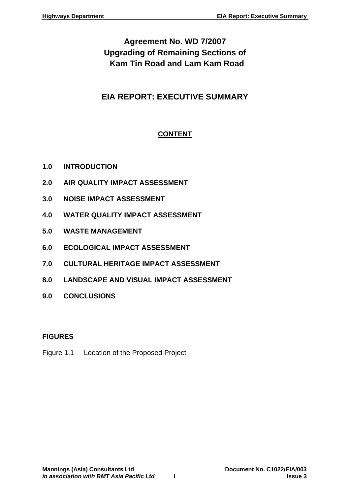# **Agreement No. WD 7/2007 Upgrading of Remaining Sections of Kam Tin Road and Lam Kam Road**

## **EIA REPORT: EXECUTIVE SUMMARY**

## **CONTENT**

- **1.0 [INTRODUCTION](#page-3-0)**
- **2.0 [AIR QUALITY IMPACT ASSESSMENT](#page-5-0)**
- **3.0 [NOISE IMPACT ASSESSMENT](#page-7-0)**
- **4.0 [WATER QUALITY IMPACT ASSESSMENT](#page-9-0)**
- **5.0 [WASTE MANAGEMENT](#page-11-0)**
- **6.0 [ECOLOGICAL IMPACT ASSESSMENT](#page-14-0)**
- **7.0 [CULTURAL HERITAGE IMPACT ASSESSMENT](#page-16-0)**
- **8.0 [LANDSCAPE AND VISUAL IMPACT ASSESSMENT](#page-18-0)**
- **9.0 [CONCLUSIONS](#page-23-0)**

### **FIGURES**

Figure 1.1 Location of the Proposed Project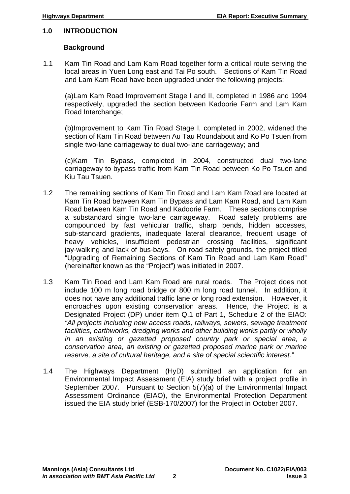#### <span id="page-3-0"></span>**1.0 INTRODUCTION**

#### **Background**

1.1 Kam Tin Road and Lam Kam Road together form a critical route serving the local areas in Yuen Long east and Tai Po south. Sections of Kam Tin Road and Lam Kam Road have been upgraded under the following projects:

(a)Lam Kam Road Improvement Stage I and II, completed in 1986 and 1994 respectively, upgraded the section between Kadoorie Farm and Lam Kam Road Interchange;

(b)Improvement to Kam Tin Road Stage I, completed in 2002, widened the section of Kam Tin Road between Au Tau Roundabout and Ko Po Tsuen from single two-lane carriageway to dual two-lane carriageway; and

(c)Kam Tin Bypass, completed in 2004, constructed dual two-lane carriageway to bypass traffic from Kam Tin Road between Ko Po Tsuen and Kiu Tau Tsuen.

- 1.2 The remaining sections of Kam Tin Road and Lam Kam Road are located at Kam Tin Road between Kam Tin Bypass and Lam Kam Road, and Lam Kam Road between Kam Tin Road and Kadoorie Farm. These sections comprise a substandard single two-lane carriageway. Road safety problems are compounded by fast vehicular traffic, sharp bends, hidden accesses, sub-standard gradients, inadequate lateral clearance, frequent usage of heavy vehicles, insufficient pedestrian crossing facilities, significant jay-walking and lack of bus-bays. On road safety grounds, the project titled "Upgrading of Remaining Sections of Kam Tin Road and Lam Kam Road" (hereinafter known as the "Project") was initiated in 2007.
- 1.3 Kam Tin Road and Lam Kam Road are rural roads. The Project does not include 100 m long road bridge or 800 m long road tunnel. In addition, it does not have any additional traffic lane or long road extension. However, it encroaches upon existing conservation areas. Hence, the Project is a Designated Project (DP) under item Q.1 of Part 1, Schedule 2 of the EIAO: *"All projects including new access roads, railways, sewers, sewage treatment facilities, earthworks, dredging works and other building works partly or wholly in an existing or gazetted proposed country park or special area, a conservation area, an existing or gazetted proposed marine park or marine reserve, a site of cultural heritage, and a site of special scientific interest."*
- 1.4 The Highways Department (HyD) submitted an application for an Environmental Impact Assessment (EIA) study brief with a project profile in September 2007. Pursuant to Section 5(7)(a) of the Environmental Impact Assessment Ordinance (EIAO), the Environmental Protection Department issued the EIA study brief (ESB-170/2007) for the Project in October 2007.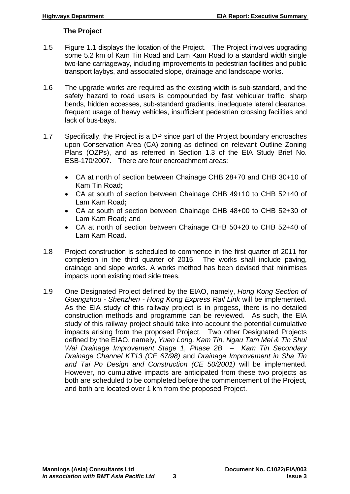#### **The Project**

- 1.5 Figure 1.1 displays the location of the Project. The Project involves upgrading some 5.2 km of Kam Tin Road and Lam Kam Road to a standard width single two-lane carriageway, including improvements to pedestrian facilities and public transport laybys, and associated slope, drainage and landscape works.
- 1.6 The upgrade works are required as the existing width is sub-standard, and the safety hazard to road users is compounded by fast vehicular traffic, sharp bends, hidden accesses, sub-standard gradients, inadequate lateral clearance, frequent usage of heavy vehicles, insufficient pedestrian crossing facilities and lack of bus-bays.
- 1.7 Specifically, the Project is a DP since part of the Project boundary encroaches upon Conservation Area (CA) zoning as defined on relevant Outline Zoning Plans (OZPs), and as referred in Section 1.3 of the EIA Study Brief No. ESB-170/2007. There are four encroachment areas:
	- CA at north of section between Chainage CHB 28+70 and CHB 30+10 of Kam Tin Road**;**
	- CA at south of section between Chainage CHB 49+10 to CHB 52+40 of Lam Kam Road**;**
	- CA at south of section between Chainage CHB 48+00 to CHB 52+30 of Lam Kam Road**;** and
	- CA at north of section between Chainage CHB 50+20 to CHB 52+40 of Lam Kam Road**.**
- 1.8 Project construction is scheduled to commence in the first quarter of 2011 for completion in the third quarter of 2015. The works shall include paving, drainage and slope works. A works method has been devised that minimises impacts upon existing road side trees.
- 1.9 One Designated Project defined by the EIAO, namely, *Hong Kong Section of Guangzhou - Shenzhen - Hong Kong Express Rail Link* will be implemented. As the EIA study of this railway project is in progess, there is no detailed construction methods and programme can be reviewed. As such, the EIA study of this railway project should take into account the potential cumulative impacts arising from the proposed Project. Two other Designated Projects defined by the EIAO, namely, *Yuen Long, Kam Tin, Ngau Tam Mei & Tin Shui Wai Drainage Improvement Stage 1, Phase 2B – Kam Tin Secondary Drainage Channel KT13 (CE 67/98)* and *Drainage Improvement in Sha Tin and Tai Po Design and Construction (CE 50/2001)* will be implemented. However, no cumulative impacts are anticipated from these two projects as both are scheduled to be completed before the commencement of the Project, and both are located over 1 km from the proposed Project.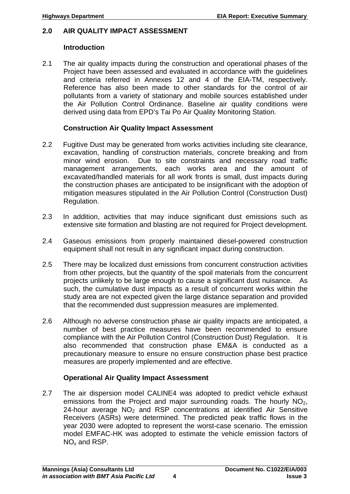#### <span id="page-5-0"></span>**2.0 AIR QUALITY IMPACT ASSESSMENT**

#### **Introduction**

2.1 The air quality impacts during the construction and operational phases of the Project have been assessed and evaluated in accordance with the guidelines and criteria referred in Annexes 12 and 4 of the EIA-TM, respectively. Reference has also been made to other standards for the control of air pollutants from a variety of stationary and mobile sources established under the Air Pollution Control Ordinance. Baseline air quality conditions were derived using data from EPD's Tai Po Air Quality Monitoring Station.

#### **Construction Air Quality Impact Assessment**

- 2.2 Fugitive Dust may be generated from works activities including site clearance, excavation, handling of construction materials, concrete breaking and from minor wind erosion. Due to site constraints and necessary road traffic management arrangements, each works area and the amount of excavated/handled materials for all work fronts is small, dust impacts during the construction phases are anticipated to be insignificant with the adoption of mitigation measures stipulated in the Air Pollution Control (Construction Dust) Regulation.
- 2.3 In addition, activities that may induce significant dust emissions such as extensive site formation and blasting are not required for Project development.
- 2.4 Gaseous emissions from properly maintained diesel-powered construction equipment shall not result in any significant impact during construction.
- 2.5 There may be localized dust emissions from concurrent construction activities from other projects, but the quantity of the spoil materials from the concurrent projects unlikely to be large enough to cause a significant dust nuisance. As such, the cumulative dust impacts as a result of concurrent works within the study area are not expected given the large distance separation and provided that the recommended dust suppression measures are implemented.
- 2.6 Although no adverse construction phase air quality impacts are anticipated, a number of best practice measures have been recommended to ensure compliance with the Air Pollution Control (Construction Dust) Regulation. It is also recommended that construction phase EM&A is conducted as a precautionary measure to ensure no ensure construction phase best practice measures are properly implemented and are effective.

#### **Operational Air Quality Impact Assessment**

2.7 The air dispersion model CALINE4 was adopted to predict vehicle exhaust emissions from the Project and major surrounding roads. The hourly  $NO<sub>2</sub>$ , 24-hour average  $NO<sub>2</sub>$  and RSP concentrations at identified Air Sensitive Receivers (ASRs) were determined. The predicted peak traffic flows in the year 2030 were adopted to represent the worst-case scenario. The emission model EMFAC-HK was adopted to estimate the vehicle emission factors of NO<sub>x</sub> and RSP.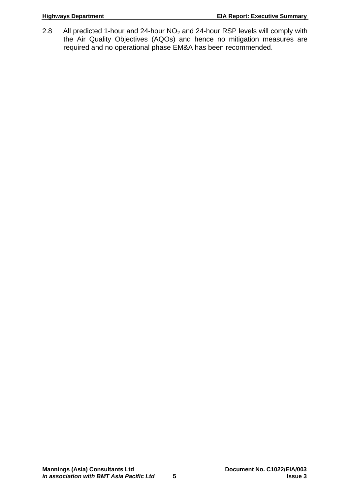2.8 All predicted 1-hour and 24-hour NO<sub>2</sub> and 24-hour RSP levels will comply with the Air Quality Objectives (AQOs) and hence no mitigation measures are required and no operational phase EM&A has been recommended.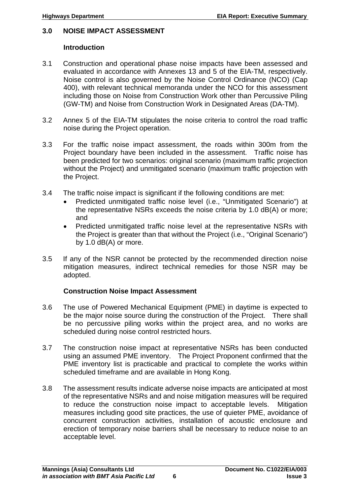#### <span id="page-7-0"></span>**3.0 NOISE IMPACT ASSESSMENT**

#### **Introduction**

- 3.1 Construction and operational phase noise impacts have been assessed and evaluated in accordance with Annexes 13 and 5 of the EIA-TM, respectively. Noise control is also governed by the Noise Control Ordinance (NCO) (Cap 400), with relevant technical memoranda under the NCO for this assessment including those on Noise from Construction Work other than Percussive Piling (GW-TM) and Noise from Construction Work in Designated Areas (DA-TM).
- 3.2 Annex 5 of the EIA-TM stipulates the noise criteria to control the road traffic noise during the Project operation.
- 3.3 For the traffic noise impact assessment, the roads within 300m from the Project boundary have been included in the assessment. Traffic noise has been predicted for two scenarios: original scenario (maximum traffic projection without the Project) and unmitigated scenario (maximum traffic projection with the Project.
- 3.4 The traffic noise impact is significant if the following conditions are met:
	- Predicted unmitigated traffic noise level (i.e., "Unmitigated Scenario") at the representative NSRs exceeds the noise criteria by 1.0 dB(A) or more; and
	- Predicted unmitigated traffic noise level at the representative NSRs with the Project is greater than that without the Project (i.e., "Original Scenario") by 1.0 dB(A) or more.
- 3.5 If any of the NSR cannot be protected by the recommended direction noise mitigation measures, indirect technical remedies for those NSR may be adopted.

#### **Construction Noise Impact Assessment**

- 3.6 The use of Powered Mechanical Equipment (PME) in daytime is expected to be the major noise source during the construction of the Project. There shall be no percussive piling works within the project area, and no works are scheduled during noise control restricted hours.
- 3.7 The construction noise impact at representative NSRs has been conducted using an assumed PME inventory. The Project Proponent confirmed that the PME inventory list is practicable and practical to complete the works within scheduled timeframe and are available in Hong Kong.
- 3.8 The assessment results indicate adverse noise impacts are anticipated at most of the representative NSRs and and noise mitigation measures will be required to reduce the construction noise impact to acceptable levels. Mitigation measures including good site practices, the use of quieter PME, avoidance of concurrent construction activities, installation of acoustic enclosure and erection of temporary noise barriers shall be necessary to reduce noise to an acceptable level.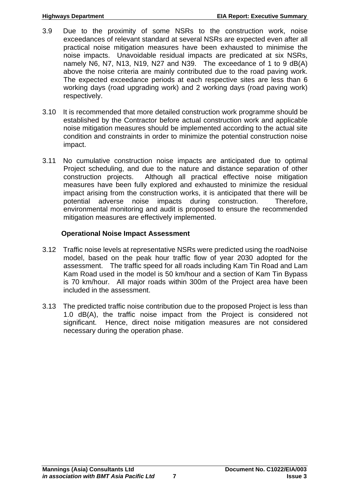- 3.9 Due to the proximity of some NSRs to the construction work, noise exceedances of relevant standard at several NSRs are expected even after all practical noise mitigation measures have been exhausted to minimise the noise impacts. Unavoidable residual impacts are predicated at six NSRs, namely N6, N7, N13, N19, N27 and N39. The exceedance of 1 to 9 dB(A) above the noise criteria are mainly contributed due to the road paving work. The expected exceedance periods at each respective sites are less than 6 working days (road upgrading work) and 2 working days (road paving work) respectively.
- 3.10 It is recommended that more detailed construction work programme should be established by the Contractor before actual construction work and applicable noise mitigation measures should be implemented according to the actual site condition and constraints in order to minimize the potential construction noise impact.
- 3.11 No cumulative construction noise impacts are anticipated due to optimal Project scheduling, and due to the nature and distance separation of other construction projects. Although all practical effective noise mitigation measures have been fully explored and exhausted to minimize the residual impact arising from the construction works, it is anticipated that there will be potential adverse noise impacts during construction. Therefore, environmental monitoring and audit is proposed to ensure the recommended mitigation measures are effectively implemented.

#### **Operational Noise Impact Assessment**

- 3.12 Traffic noise levels at representative NSRs were predicted using the roadNoise model, based on the peak hour traffic flow of year 2030 adopted for the assessment. The traffic speed for all roads including Kam Tin Road and Lam Kam Road used in the model is 50 km/hour and a section of Kam Tin Bypass is 70 km/hour. All major roads within 300m of the Project area have been included in the assessment.
- 3.13 The predicted traffic noise contribution due to the proposed Project is less than 1.0 dB(A), the traffic noise impact from the Project is considered not significant. Hence, direct noise mitigation measures are not considered necessary during the operation phase.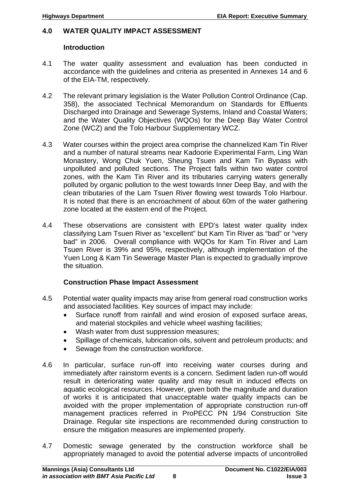#### <span id="page-9-0"></span>**4.0 WATER QUALITY IMPACT ASSESSMENT**

#### **Introduction**

- 4.1 The water quality assessment and evaluation has been conducted in accordance with the guidelines and criteria as presented in Annexes 14 and 6 of the EIA-TM, respectively.
- 4.2 The relevant primary legislation is the Water Pollution Control Ordinance (Cap. 358), the associated Technical Memorandum on Standards for Effluents Discharged into Drainage and Sewerage Systems, Inland and Coastal Waters; and the Water Quality Objectives (WQOs) for the Deep Bay Water Control Zone (WCZ) and the Tolo Harbour Supplementary WCZ.
- 4.3 Water courses within the project area comprise the channelized Kam Tin River and a number of natural streams near Kadoorie Experimental Farm, Ling Wan Monastery, Wong Chuk Yuen, Sheung Tsuen and Kam Tin Bypass with unpolluted and polluted sections. The Project falls within two water control zones, with the Kam Tin River and its tributaries carrying waters generally polluted by organic pollution to the west towards Inner Deep Bay, and with the clean tributaries of the Lam Tsuen River flowing west towards Tolo Harbour. It is noted that there is an encroachment of about 60m of the water gathering zone located at the eastern end of the Project.
- 4.4 These observations are consistent with EPD's latest water quality index classifying Lam Tsuen River as "excellent" but Kam Tin River as "bad" or "very bad" in 2006. Overall compliance with WQOs for Kam Tin River and Lam Tsuen River is 39% and 95%, respectively, although implementation of the Yuen Long & Kam Tin Sewerage Master Plan is expected to gradually improve the situation.

### **Construction Phase Impact Assessment**

- 4.5 Potential water quality impacts may arise from general road construction works and associated facilities. Key sources of impact may include:
	- Surface runoff from rainfall and wind erosion of exposed surface areas, and material stockpiles and vehicle wheel washing facilities;
	- Wash water from dust suppression measures:
	- Spillage of chemicals, lubrication oils, solvent and petroleum products; and
	- Sewage from the construction workforce.
- 4.6 In particular, surface run-off into receiving water courses during and immediately after rainstorm events is a concern. Sediment laden run-off would result in deteriorating water quality and may result in induced effects on aquatic ecological resources. However, given both the magnitude and duration of works it is anticipated that unacceptable water quality impacts can be avoided with the proper implementation of appropriate construction run-off management practices referred in ProPECC PN 1/94 Construction Site Drainage. Regular site inspections are recommended during construction to ensure the mitigation measures are implemented properly.
- 4.7 Domestic sewage generated by the construction workforce shall be appropriately managed to avoid the potential adverse impacts of uncontrolled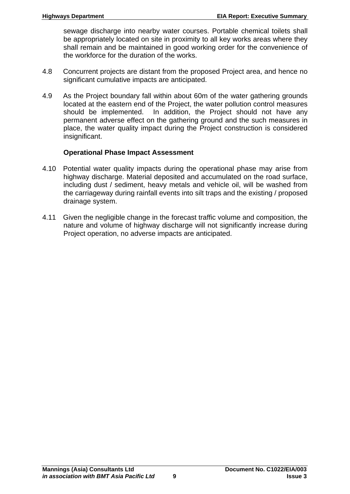sewage discharge into nearby water courses. Portable chemical toilets shall be appropriately located on site in proximity to all key works areas where they shall remain and be maintained in good working order for the convenience of the workforce for the duration of the works.

- 4.8 Concurrent projects are distant from the proposed Project area, and hence no significant cumulative impacts are anticipated.
- 4.9 As the Project boundary fall within about 60m of the water gathering grounds located at the eastern end of the Project, the water pollution control measures should be implemented. In addition, the Project should not have any permanent adverse effect on the gathering ground and the such measures in place, the water quality impact during the Project construction is considered insignificant.

#### **Operational Phase Impact Assessment**

- 4.10 Potential water quality impacts during the operational phase may arise from highway discharge. Material deposited and accumulated on the road surface, including dust / sediment, heavy metals and vehicle oil, will be washed from the carriageway during rainfall events into silt traps and the existing / proposed drainage system.
- 4.11 Given the negligible change in the forecast traffic volume and composition, the nature and volume of highway discharge will not significantly increase during Project operation, no adverse impacts are anticipated.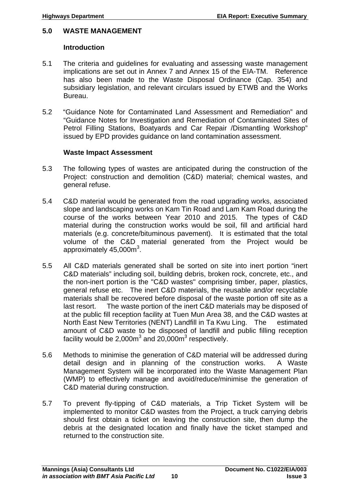#### <span id="page-11-0"></span>**5.0 WASTE MANAGEMENT**

#### **Introduction**

- 5.1 The criteria and guidelines for evaluating and assessing waste management implications are set out in Annex 7 and Annex 15 of the EIA-TM. Reference has also been made to the Waste Disposal Ordinance (Cap. 354) and subsidiary legislation, and relevant circulars issued by ETWB and the Works Bureau.
- 5.2 "Guidance Note for Contaminated Land Assessment and Remediation" and "Guidance Notes for Investigation and Remediation of Contaminated Sites of Petrol Filling Stations, Boatyards and Car Repair /Dismantling Workshop" issued by EPD provides guidance on land contamination assessment.

#### **Waste Impact Assessment**

- 5.3 The following types of wastes are anticipated during the construction of the Project: construction and demolition (C&D) material; chemical wastes, and general refuse.
- 5.4 C&D material would be generated from the road upgrading works, associated slope and landscaping works on Kam Tin Road and Lam Kam Road during the course of the works between Year 2010 and 2015. The types of C&D material during the construction works would be soil, fill and artificial hard materials (e.g. concrete/bituminous pavement). It is estimated that the total volume of the C&D material generated from the Project would be approximately  $45,000$ m $^3$ .
- 5.5 All C&D materials generated shall be sorted on site into inert portion "inert C&D materials" including soil, building debris, broken rock, concrete, etc., and the non-inert portion is the "C&D wastes" comprising timber, paper, plastics, general refuse etc. The inert C&D materials, the reusable and/or recyclable materials shall be recovered before disposal of the waste portion off site as a last resort. The waste portion of the inert C&D materials may be disposed of at the public fill reception facility at Tuen Mun Area 38, and the C&D wastes at North East New Territories (NENT) Landfill in Ta Kwu Ling. The estimated amount of C&D waste to be disposed of landfill and public filling reception facility would be 2,000 $m^3$  and 20,000 $m^3$  respectively.
- 5.6 Methods to minimise the generation of C&D material will be addressed during detail design and in planning of the construction works. A Waste Management System will be incorporated into the Waste Management Plan (WMP) to effectively manage and avoid/reduce/minimise the generation of C&D material during construction.
- 5.7 To prevent fly-tipping of C&D materials, a Trip Ticket System will be implemented to monitor C&D wastes from the Project, a truck carrying debris should first obtain a ticket on leaving the construction site, then dump the debris at the designated location and finally have the ticket stamped and returned to the construction site.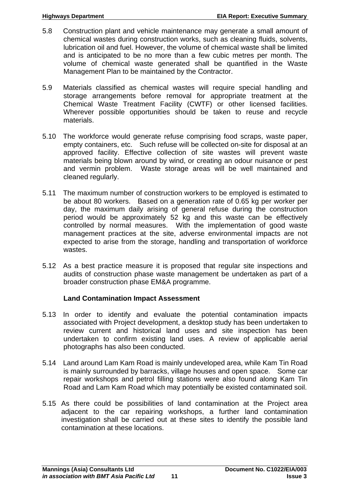- 5.8 Construction plant and vehicle maintenance may generate a small amount of chemical wastes during construction works, such as cleaning fluids, solvents, lubrication oil and fuel. However, the volume of chemical waste shall be limited and is anticipated to be no more than a few cubic metres per month. The volume of chemical waste generated shall be quantified in the Waste Management Plan to be maintained by the Contractor.
- 5.9 Materials classified as chemical wastes will require special handling and storage arrangements before removal for appropriate treatment at the Chemical Waste Treatment Facility (CWTF) or other licensed facilities. Wherever possible opportunities should be taken to reuse and recycle materials.
- 5.10 The workforce would generate refuse comprising food scraps, waste paper, empty containers, etc. Such refuse will be collected on-site for disposal at an approved facility. Effective collection of site wastes will prevent waste materials being blown around by wind, or creating an odour nuisance or pest and vermin problem. Waste storage areas will be well maintained and cleaned regularly.
- 5.11 The maximum number of construction workers to be employed is estimated to be about 80 workers. Based on a generation rate of 0.65 kg per worker per day, the maximum daily arising of general refuse during the construction period would be approximately 52 kg and this waste can be effectively controlled by normal measures. With the implementation of good waste management practices at the site, adverse environmental impacts are not expected to arise from the storage, handling and transportation of workforce wastes.
- 5.12 As a best practice measure it is proposed that regular site inspections and audits of construction phase waste management be undertaken as part of a broader construction phase EM&A programme.

#### **Land Contamination Impact Assessment**

- 5.13 In order to identify and evaluate the potential contamination impacts associated with Project development, a desktop study has been undertaken to review current and historical land uses and site inspection has been undertaken to confirm existing land uses. A review of applicable aerial photographs has also been conducted.
- 5.14 Land around Lam Kam Road is mainly undeveloped area, while Kam Tin Road is mainly surrounded by barracks, village houses and open space. Some car repair workshops and petrol filling stations were also found along Kam Tin Road and Lam Kam Road which may potentially be existed contaminated soil.
- 5.15 As there could be possibilities of land contamination at the Project area adjacent to the car repairing workshops, a further land contamination investigation shall be carried out at these sites to identify the possible land contamination at these locations.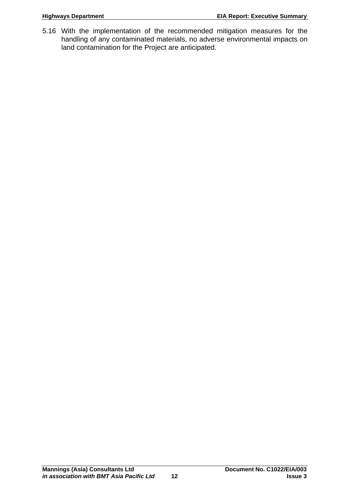5.16 With the implementation of the recommended mitigation measures for the handling of any contaminated materials, no adverse environmental impacts on land contamination for the Project are anticipated.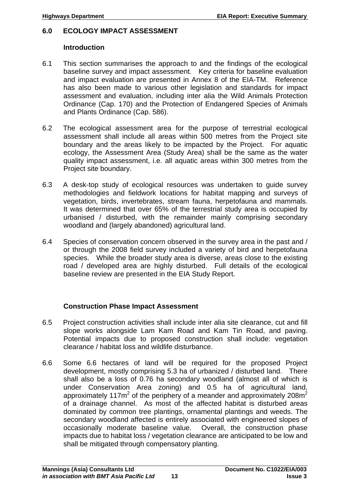#### <span id="page-14-0"></span>**6.0 ECOLOGY IMPACT ASSESSMENT**

#### **Introduction**

- 6.1 This section summarises the approach to and the findings of the ecological baseline survey and impact assessment. Key criteria for baseline evaluation and impact evaluation are presented in Annex 8 of the EIA-TM. Reference has also been made to various other legislation and standards for impact assessment and evaluation, including inter alia the Wild Animals Protection Ordinance (Cap. 170) and the Protection of Endangered Species of Animals and Plants Ordinance (Cap. 586).
- 6.2 The ecological assessment area for the purpose of terrestrial ecological assessment shall include all areas within 500 metres from the Project site boundary and the areas likely to be impacted by the Project. For aquatic ecology, the Assessment Area (Study Area) shall be the same as the water quality impact assessment, i.e. all aquatic areas within 300 metres from the Project site boundary.
- 6.3 A desk-top study of ecological resources was undertaken to guide survey methodologies and fieldwork locations for habitat mapping and surveys of vegetation, birds, invertebrates, stream fauna, herpetofauna and mammals. It was determined that over 65% of the terrestrial study area is occupied by urbanised / disturbed, with the remainder mainly comprising secondary woodland and (largely abandoned) agricultural land.
- 6.4 Species of conservation concern observed in the survey area in the past and / or through the 2008 field survey included a variety of bird and herpetofauna species. While the broader study area is diverse, areas close to the existing road / developed area are highly disturbed. Full details of the ecological baseline review are presented in the EIA Study Report.

#### **Construction Phase Impact Assessment**

- 6.5 Project construction activities shall include inter alia site clearance, cut and fill slope works alongside Lam Kam Road and Kam Tin Road, and paving. Potential impacts due to proposed construction shall include: vegetation clearance / habitat loss and wildlife disturbance.
- 6.6 Some 6.6 hectares of land will be required for the proposed Project development, mostly comprising 5.3 ha of urbanized / disturbed land. There shall also be a loss of 0.76 ha secondary woodland (almost all of which is under Conservation Area zoning) and 0.5 ha of agricultural land, approximately 117 $m^2$  of the periphery of a meander and approximately 208 $m^2$ of a drainage channel. As most of the affected habitat is disturbed areas dominated by common tree plantings, ornamental plantings and weeds. The secondary woodland affected is entirely associated with engineered slopes of occasionally moderate baseline value. Overall, the construction phase impacts due to habitat loss / vegetation clearance are anticipated to be low and shall be mitigated through compensatory planting.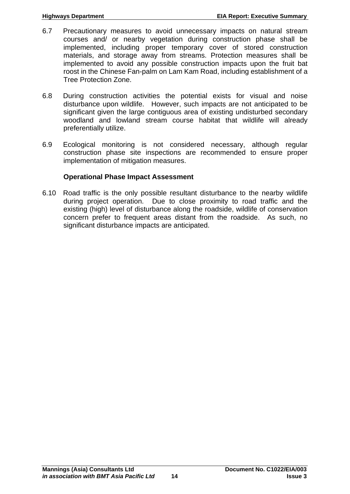- 6.7 Precautionary measures to avoid unnecessary impacts on natural stream courses and/ or nearby vegetation during construction phase shall be implemented, including proper temporary cover of stored construction materials, and storage away from streams. Protection measures shall be implemented to avoid any possible construction impacts upon the fruit bat roost in the Chinese Fan-palm on Lam Kam Road, including establishment of a Tree Protection Zone.
- 6.8 During construction activities the potential exists for visual and noise disturbance upon wildlife. However, such impacts are not anticipated to be significant given the large contiguous area of existing undisturbed secondary woodland and lowland stream course habitat that wildlife will already preferentially utilize.
- 6.9 Ecological monitoring is not considered necessary, although regular construction phase site inspections are recommended to ensure proper implementation of mitigation measures.

#### **Operational Phase Impact Assessment**

6.10 Road traffic is the only possible resultant disturbance to the nearby wildlife during project operation. Due to close proximity to road traffic and the existing (high) level of disturbance along the roadside, wildlife of conservation concern prefer to frequent areas distant from the roadside. As such, no significant disturbance impacts are anticipated.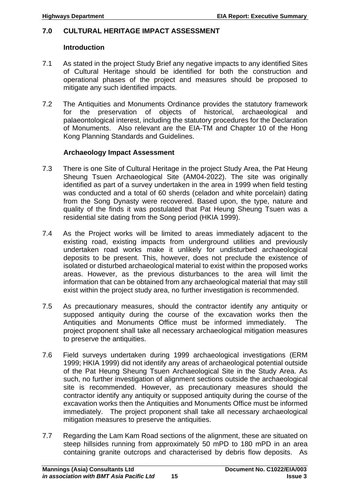#### <span id="page-16-0"></span>**7.0 CULTURAL HERITAGE IMPACT ASSESSMENT**

#### **Introduction**

- 7.1 As stated in the project Study Brief any negative impacts to any identified Sites of Cultural Heritage should be identified for both the construction and operational phases of the project and measures should be proposed to mitigate any such identified impacts.
- 7.2 The Antiquities and Monuments Ordinance provides the statutory framework for the preservation of objects of historical, archaeological and palaeontological interest, including the statutory procedures for the Declaration of Monuments. Also relevant are the EIA-TM and Chapter 10 of the Hong Kong Planning Standards and Guidelines.

#### **Archaeology Impact Assessment**

- 7.3 There is one Site of Cultural Heritage in the project Study Area, the Pat Heung Sheung Tsuen Archaeological Site (AM04-2022). The site was originally identified as part of a survey undertaken in the area in 1999 when field testing was conducted and a total of 60 sherds (celadon and white porcelain) dating from the Song Dynasty were recovered. Based upon, the type, nature and quality of the finds it was postulated that Pat Heung Sheung Tsuen was a residential site dating from the Song period (HKIA 1999).
- 7.4 As the Project works will be limited to areas immediately adjacent to the existing road, existing impacts from underground utilities and previously undertaken road works make it unlikely for undisturbed archaeological deposits to be present. This, however, does not preclude the existence of isolated or disturbed archaeological material to exist within the proposed works areas. However, as the previous disturbances to the area will limit the information that can be obtained from any archaeological material that may still exist within the project study area, no further investigation is recommended.
- 7.5 As precautionary measures, should the contractor identify any antiquity or supposed antiquity during the course of the excavation works then the Antiquities and Monuments Office must be informed immediately. The project proponent shall take all necessary archaeological mitigation measures to preserve the antiquities.
- 7.6 Field surveys undertaken during 1999 archaeological investigations (ERM 1999; HKIA 1999) did not identify any areas of archaeological potential outside of the Pat Heung Sheung Tsuen Archaeological Site in the Study Area. As such, no further investigation of alignment sections outside the archaeological site is recommended. However, as precautionary measures should the contractor identify any antiquity or supposed antiquity during the course of the excavation works then the Antiquities and Monuments Office must be informed immediately. The project proponent shall take all necessary archaeological mitigation measures to preserve the antiquities.
- 7.7 Regarding the Lam Kam Road sections of the alignment, these are situated on steep hillsides running from approximately 50 mPD to 180 mPD in an area containing granite outcrops and characterised by debris flow deposits. As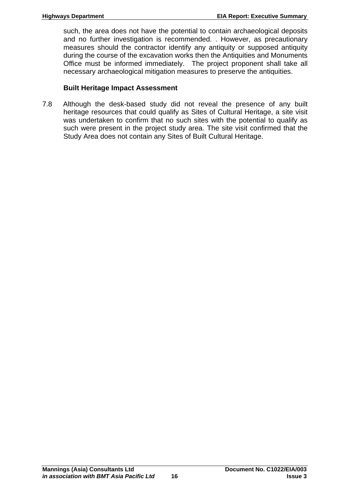such, the area does not have the potential to contain archaeological deposits and no further investigation is recommended. . However, as precautionary measures should the contractor identify any antiquity or supposed antiquity during the course of the excavation works then the Antiquities and Monuments Office must be informed immediately. The project proponent shall take all necessary archaeological mitigation measures to preserve the antiquities.

#### **Built Heritage Impact Assessment**

7.8 Although the desk-based study did not reveal the presence of any built heritage resources that could qualify as Sites of Cultural Heritage, a site visit was undertaken to confirm that no such sites with the potential to qualify as such were present in the project study area. The site visit confirmed that the Study Area does not contain any Sites of Built Cultural Heritage.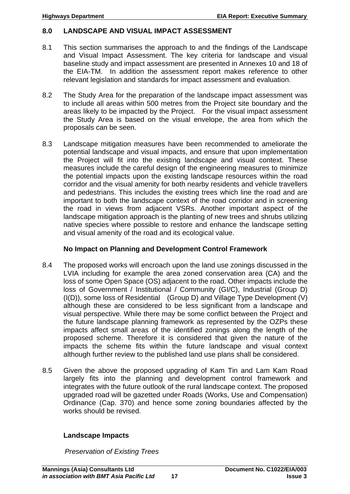#### <span id="page-18-0"></span>**8.0 LANDSCAPE AND VISUAL IMPACT ASSESSMENT**

- 8.1 This section summarises the approach to and the findings of the Landscape and Visual Impact Assessment. The key criteria for landscape and visual baseline study and impact assessment are presented in Annexes 10 and 18 of the EIA-TM. In addition the assessment report makes reference to other relevant legislation and standards for impact assessment and evaluation.
- 8.2 The Study Area for the preparation of the landscape impact assessment was to include all areas within 500 metres from the Project site boundary and the areas likely to be impacted by the Project. For the visual impact assessment the Study Area is based on the visual envelope, the area from which the proposals can be seen.
- 8.3 Landscape mitigation measures have been recommended to ameliorate the potential landscape and visual impacts, and ensure that upon implementation the Project will fit into the existing landscape and visual context. These measures include the careful design of the engineering measures to minimize the potential impacts upon the existing landscape resources within the road corridor and the visual amenity for both nearby residents and vehicle travellers and pedestrians. This includes the existing trees which line the road and are important to both the landscape context of the road corridor and in screening the road in views from adjacent VSRs. Another important aspect of the landscape mitigation approach is the planting of new trees and shrubs utilizing native species where possible to restore and enhance the landscape setting and visual amenity of the road and its ecological value.

#### **No Impact on Planning and Development Control Framework**

- 8.4 The proposed works will encroach upon the land use zonings discussed in the LVIA including for example the area zoned conservation area (CA) and the loss of some Open Space (OS) adjacent to the road. Other impacts include the loss of Government / Institutional / Community (GI/C), Industrial (Group D) (I(D)), some loss of Residential (Group D) and Village Type Development (V) although these are considered to be less significant from a landscape and visual perspective. While there may be some conflict between the Project and the future landscape planning framework as represented by the OZPs these impacts affect small areas of the identified zonings along the length of the proposed scheme. Therefore it is considered that given the nature of the impacts the scheme fits within the future landscape and visual context although further review to the published land use plans shall be considered.
- 8.5 Given the above the proposed upgrading of Kam Tin and Lam Kam Road largely fits into the planning and development control framework and integrates with the future outlook of the rural landscape context. The proposed upgraded road will be gazetted under Roads (Works, Use and Compensation) Ordinance (Cap. 370) and hence some zoning boundaries affected by the works should be revised.

#### **Landscape Impacts**

*Preservation of Existing Trees*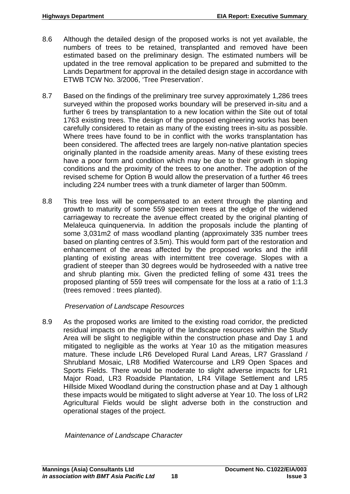- 8.6 Although the detailed design of the proposed works is not yet available, the numbers of trees to be retained, transplanted and removed have been estimated based on the preliminary design. The estimated numbers will be updated in the tree removal application to be prepared and submitted to the Lands Department for approval in the detailed design stage in accordance with ETWB TCW No. 3/2006, 'Tree Preservation'.
- 8.7 Based on the findings of the preliminary tree survey approximately 1,286 trees surveyed within the proposed works boundary will be preserved in-situ and a further 6 trees by transplantation to a new location within the Site out of total 1763 existing trees. The design of the proposed engineering works has been carefully considered to retain as many of the existing trees in-situ as possible. Where trees have found to be in conflict with the works transplantation has been considered. The affected trees are largely non-native plantation species originally planted in the roadside amenity areas. Many of these existing trees have a poor form and condition which may be due to their growth in sloping conditions and the proximity of the trees to one another. The adoption of the revised scheme for Option B would allow the preservation of a further 46 trees including 224 number trees with a trunk diameter of larger than 500mm.
- 8.8 This tree loss will be compensated to an extent through the planting and growth to maturity of some 559 specimen trees at the edge of the widened carriageway to recreate the avenue effect created by the original planting of Melaleuca quinquenervia. In addition the proposals include the planting of some 3,031m2 of mass woodland planting (approximately 335 number trees based on planting centres of 3.5m). This would form part of the restoration and enhancement of the areas affected by the proposed works and the infill planting of existing areas with intermittent tree coverage. Slopes with a gradient of steeper than 30 degrees would be hydroseeded with a native tree and shrub planting mix. Given the predicted felling of some 431 trees the proposed planting of 559 trees will compensate for the loss at a ratio of 1:1.3 (trees removed : trees planted).

#### *Preservation of Landscape Resources*

8.9 As the proposed works are limited to the existing road corridor, the predicted residual impacts on the majority of the landscape resources within the Study Area will be slight to negligible within the construction phase and Day 1 and mitigated to negligible as the works at Year 10 as the mitigation measures mature. These include LR6 Developed Rural Land Areas, LR7 Grassland / Shrubland Mosaic, LR8 Modified Watercourse and LR9 Open Spaces and Sports Fields. There would be moderate to slight adverse impacts for LR1 Major Road, LR3 Roadside Plantation, LR4 Village Settlement and LR5 Hillside Mixed Woodland during the construction phase and at Day 1 although these impacts would be mitigated to slight adverse at Year 10. The loss of LR2 Agricultural Fields would be slight adverse both in the construction and operational stages of the project.

*Maintenance of Landscape Character*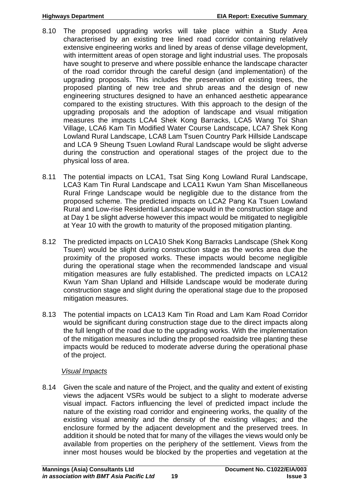- 8.10 The proposed upgrading works will take place within a Study Area characterised by an existing tree lined road corridor containing relatively extensive engineering works and lined by areas of dense village development, with intermittent areas of open storage and light industrial uses. The proposals have sought to preserve and where possible enhance the landscape character of the road corridor through the careful design (and implementation) of the upgrading proposals. This includes the preservation of existing trees, the proposed planting of new tree and shrub areas and the design of new engineering structures designed to have an enhanced aesthetic appearance compared to the existing structures. With this approach to the design of the upgrading proposals and the adoption of landscape and visual mitigation measures the impacts LCA4 Shek Kong Barracks, LCA5 Wang Toi Shan Village, LCA6 Kam Tin Modified Water Course Landscape, LCA7 Shek Kong Lowland Rural Landscape, LCA8 Lam Tsuen Country Park Hillside Landscape and LCA 9 Sheung Tsuen Lowland Rural Landscape would be slight adverse during the construction and operational stages of the project due to the physical loss of area.
- 8.11 The potential impacts on LCA1, Tsat Sing Kong Lowland Rural Landscape, LCA3 Kam Tin Rural Landscape and LCA11 Kwun Yam Shan Miscellaneous Rural Fringe Landscape would be negligible due to the distance from the proposed scheme. The predicted impacts on LCA2 Pang Ka Tsuen Lowland Rural and Low-rise Residential Landscape would in the construction stage and at Day 1 be slight adverse however this impact would be mitigated to negligible at Year 10 with the growth to maturity of the proposed mitigation planting.
- 8.12 The predicted impacts on LCA10 Shek Kong Barracks Landscape (Shek Kong Tsuen) would be slight during construction stage as the works area due the proximity of the proposed works. These impacts would become negligible during the operational stage when the recommended landscape and visual mitigation measures are fully established. The predicted impacts on LCA12 Kwun Yam Shan Upland and Hillside Landscape would be moderate during construction stage and slight during the operational stage due to the proposed mitigation measures.
- 8.13 The potential impacts on LCA13 Kam Tin Road and Lam Kam Road Corridor would be significant during construction stage due to the direct impacts along the full length of the road due to the upgrading works. With the implementation of the mitigation measures including the proposed roadside tree planting these impacts would be reduced to moderate adverse during the operational phase of the project.

### *Visual Impacts*

8.14 Given the scale and nature of the Project, and the quality and extent of existing views the adjacent VSRs would be subject to a slight to moderate adverse visual impact. Factors influencing the level of predicted impact include the nature of the existing road corridor and engineering works, the quality of the existing visual amenity and the density of the existing villages; and the enclosure formed by the adjacent development and the preserved trees. In addition it should be noted that for many of the villages the views would only be available from properties on the periphery of the settlement. Views from the inner most houses would be blocked by the properties and vegetation at the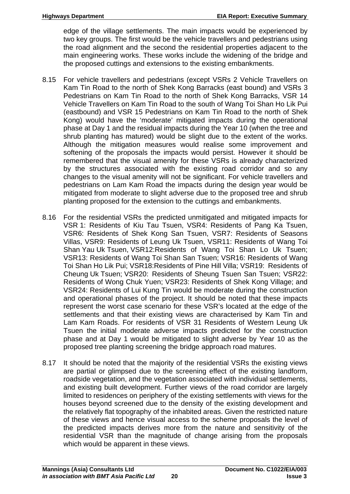edge of the village settlements. The main impacts would be experienced by two key groups. The first would be the vehicle travellers and pedestrians using the road alignment and the second the residential properties adjacent to the main engineering works. These works include the widening of the bridge and the proposed cuttings and extensions to the existing embankments.

- 8.15 For vehicle travellers and pedestrians (except VSRs 2 Vehicle Travellers on Kam Tin Road to the north of Shek Kong Barracks (east bound) and VSRs 3 Pedestrians on Kam Tin Road to the north of Shek Kong Barracks, VSR 14 Vehicle Travellers on Kam Tin Road to the south of Wang Toi Shan Ho Lik Pui (eastbound) and VSR 15 Pedestrians on Kam Tin Road to the north of Shek Kong) would have the 'moderate' mitigated impacts during the operational phase at Day 1 and the residual impacts during the Year 10 (when the tree and shrub planting has matured) would be slight due to the extent of the works. Although the mitigation measures would realise some improvement and softening of the proposals the impacts would persist. However it should be remembered that the visual amenity for these VSRs is already characterized by the structures associated with the existing road corridor and so any changes to the visual amenity will not be significant. For vehicle travellers and pedestrians on Lam Kam Road the impacts during the design year would be mitigated from moderate to slight adverse due to the proposed tree and shrub planting proposed for the extension to the cuttings and embankments.
- 8.16 For the residential VSRs the predicted unmitigated and mitigated impacts for VSR 1: Residents of Kiu Tau Tsuen, VSR4: Residents of Pang Ka Tsuen, VSR6: Residents of Shek Kong San Tsuen, VSR7: Residents of Seasons Villas, VSR9: Residents of Leung Uk Tsuen, VSR11: Residents of Wang Toi Shan Yau Uk Tsuen, VSR12:Residents of Wang Toi Shan Lo Uk Tsuen; VSR13: Residents of Wang Toi Shan San Tsuen; VSR16: Residents of Wang Toi Shan Ho Lik Pui; VSR18: Residents of Pine Hill Villa; VSR19: Residents of Cheung Uk Tsuen; VSR20: Residents of Sheung Tsuen San Tsuen; VSR22: Residents of Wong Chuk Yuen; VSR23: Residents of Shek Kong Village; and VSR24: Residents of Lui Kung Tin would be moderate during the construction and operational phases of the project. It should be noted that these impacts represent the worst case scenario for these VSR's located at the edge of the settlements and that their existing views are characterised by Kam Tin and Lam Kam Roads. For residents of VSR 31 Residents of Western Leung Uk Tsuen the initial moderate adverse impacts predicted for the construction phase and at Day 1 would be mitigated to slight adverse by Year 10 as the proposed tree planting screening the bridge approach road matures.
- 8.17 It should be noted that the majority of the residential VSRs the existing views are partial or glimpsed due to the screening effect of the existing landform, roadside vegetation, and the vegetation associated with individual settlements, and existing built development. Further views of the road corridor are largely limited to residences on periphery of the existing settlements with views for the houses beyond screened due to the density of the existing development and the relatively flat topography of the inhabited areas. Given the restricted nature of these views and hence visual access to the scheme proposals the level of the predicted impacts derives more from the nature and sensitivity of the residential VSR than the magnitude of change arising from the proposals which would be apparent in these views.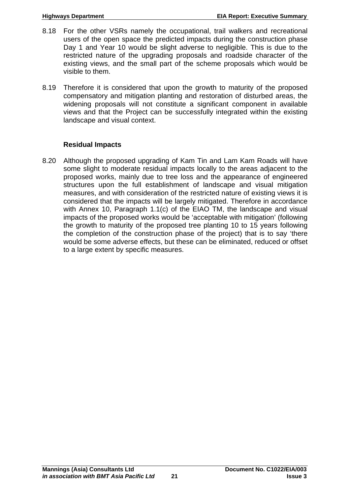- 8.18 For the other VSRs namely the occupational, trail walkers and recreational users of the open space the predicted impacts during the construction phase Day 1 and Year 10 would be slight adverse to negligible. This is due to the restricted nature of the upgrading proposals and roadside character of the existing views, and the small part of the scheme proposals which would be visible to them.
- 8.19 Therefore it is considered that upon the growth to maturity of the proposed compensatory and mitigation planting and restoration of disturbed areas, the widening proposals will not constitute a significant component in available views and that the Project can be successfully integrated within the existing landscape and visual context.

#### **Residual Impacts**

8.20 Although the proposed upgrading of Kam Tin and Lam Kam Roads will have some slight to moderate residual impacts locally to the areas adjacent to the proposed works, mainly due to tree loss and the appearance of engineered structures upon the full establishment of landscape and visual mitigation measures, and with consideration of the restricted nature of existing views it is considered that the impacts will be largely mitigated. Therefore in accordance with Annex 10, Paragraph 1.1(c) of the EIAO TM, the landscape and visual impacts of the proposed works would be 'acceptable with mitigation' (following the growth to maturity of the proposed tree planting 10 to 15 years following the completion of the construction phase of the project) that is to say 'there would be some adverse effects, but these can be eliminated, reduced or offset to a large extent by specific measures.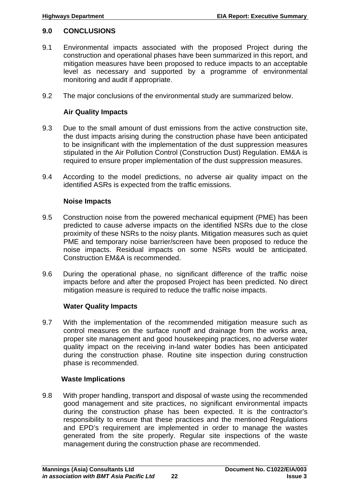#### <span id="page-23-0"></span>**9.0 CONCLUSIONS**

- 9.1 Environmental impacts associated with the proposed Project during the construction and operational phases have been summarized in this report, and mitigation measures have been proposed to reduce impacts to an acceptable level as necessary and supported by a programme of environmental monitoring and audit if appropriate.
- 9.2 The major conclusions of the environmental study are summarized below.

#### **Air Quality Impacts**

- 9.3 Due to the small amount of dust emissions from the active construction site, the dust impacts arising during the construction phase have been anticipated to be insignificant with the implementation of the dust suppression measures stipulated in the Air Pollution Control (Construction Dust) Regulation. EM&A is required to ensure proper implementation of the dust suppression measures.
- 9.4 According to the model predictions, no adverse air quality impact on the identified ASRs is expected from the traffic emissions.

#### **Noise Impacts**

- 9.5 Construction noise from the powered mechanical equipment (PME) has been predicted to cause adverse impacts on the identified NSRs due to the close proximity of these NSRs to the noisy plants. Mitigation measures such as quiet PME and temporary noise barrier/screen have been proposed to reduce the noise impacts. Residual impacts on some NSRs would be anticipated. Construction EM&A is recommended.
- 9.6 During the operational phase, no significant difference of the traffic noise impacts before and after the proposed Project has been predicted. No direct mitigation measure is required to reduce the traffic noise impacts.

#### **Water Quality Impacts**

9.7 With the implementation of the recommended mitigation measure such as control measures on the surface runoff and drainage from the works area, proper site management and good housekeeping practices, no adverse water quality impact on the receiving in-land water bodies has been anticipated during the construction phase. Routine site inspection during construction phase is recommended.

#### **Waste Implications**

9.8 With proper handling, transport and disposal of waste using the recommended good management and site practices, no significant environmental impacts during the construction phase has been expected. It is the contractor's responsibility to ensure that these practices and the mentioned Regulations and EPD's requirement are implemented in order to manage the wastes generated from the site properly. Regular site inspections of the waste management during the construction phase are recommended.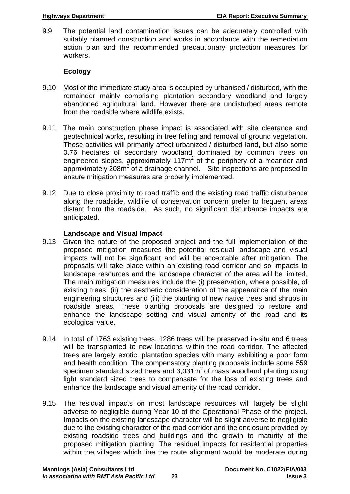9.9 The potential land contamination issues can be adequately controlled with suitably planned construction and works in accordance with the remediation action plan and the recommended precautionary protection measures for workers.

### **Ecology**

- 9.10 Most of the immediate study area is occupied by urbanised / disturbed, with the remainder mainly comprising plantation secondary woodland and largely abandoned agricultural land. However there are undisturbed areas remote from the roadside where wildlife exists.
- 9.11 The main construction phase impact is associated with site clearance and geotechnical works, resulting in tree felling and removal of ground vegetation. These activities will primarily affect urbanized / disturbed land, but also some 0.76 hectares of secondary woodland dominated by common trees on engineered slopes, approximately 117 $m<sup>2</sup>$  of the periphery of a meander and approximately  $208m^2$  of a drainage channel. Site inspections are proposed to ensure mitigation measures are properly implemented.
- 9.12 Due to close proximity to road traffic and the existing road traffic disturbance along the roadside, wildlife of conservation concern prefer to frequent areas distant from the roadside. As such, no significant disturbance impacts are anticipated.

### **Landscape and Visual Impact**

- 9.13 Given the nature of the proposed project and the full implementation of the proposed mitigation measures the potential residual landscape and visual impacts will not be significant and will be acceptable after mitigation. The proposals will take place within an existing road corridor and so impacts to landscape resources and the landscape character of the area will be limited. The main mitigation measures include the (i) preservation, where possible, of existing trees; (ii) the aesthetic consideration of the appearance of the main engineering structures and (iii) the planting of new native trees and shrubs in roadside areas. These planting proposals are designed to restore and enhance the landscape setting and visual amenity of the road and its ecological value.
- 9.14 In total of 1763 existing trees, 1286 trees will be preserved in-situ and 6 trees will be transplanted to new locations within the road corridor. The affected trees are largely exotic, plantation species with many exhibiting a poor form and health condition. The compensatory planting proposals include some 559 specimen standard sized trees and  $3,031\,\text{m}^2$  of mass woodland planting using light standard sized trees to compensate for the loss of existing trees and enhance the landscape and visual amenity of the road corridor.
- 9.15 The residual impacts on most landscape resources will largely be slight adverse to negligible during Year 10 of the Operational Phase of the project. Impacts on the existing landscape character will be slight adverse to negligible due to the existing character of the road corridor and the enclosure provided by existing roadside trees and buildings and the growth to maturity of the proposed mitigation planting. The residual impacts for residential properties within the villages which line the route alignment would be moderate during